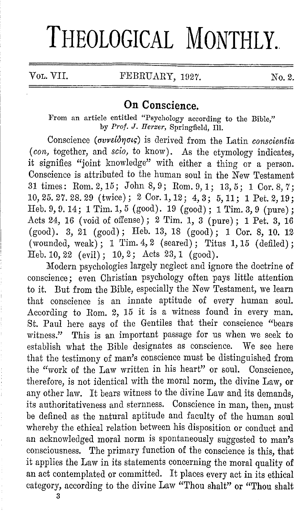## THEOLOGICAL MONTHLY.

Vol. VII. FEBRUARY, 1927. No. 2.

## **On Conscience.**

From an article entitled "Psychology according to the Bible," by Prof. J. Herzer, Springfield, Ill.

Conscience *(avvdo17atq)* is derived from the Latin *conscientia*  ( *con,* together, and *scio,* to know). As the etymology indicates, it signifies "joint knowledge" with either a thing or a person. Conscience is attributed to the human soul in the New Testament 31 times: Rom. 2, 15; John 8, 9; Rom. 9, 1; 13, 5; 1 Cor. 8, 7; 10,25.27.28.29 (twice); 2 Cor.1,12; 4,3; 5,11; 1 Pet.2,19; Heb. 9, 9. 14; 1 Tim. 1, 5 (good). 19 (good); 1 Tim. 3, 9 (pure); Acts 24, 16 ( void of offense) ; 2 Tim. 1, 3 (pure) ; 1 Pet. 3, 16  $(good)$ . 3, 21  $(good)$ ; Heb. 13, 18  $(good)$ ; 1 Cor. 8, 10. 12 (wounded, weak);  $1$  Tim.  $4, 2$  (seared); Titus 1, 15 (defiled); Heb.10,22 (evil); 10,2; Acts 23,1 (good).

:Modern psychologies largely neglect and ignore the doctrine of conscience; even Christian psychology often pays little attention to it. But from the Bible, especially the New Testament, we learn that conscience is an innate aptitude of every human soul. According to Rom. 2, 15 it is a witness found in every man. St. Paul here says of the Gentiles that their conscience "bears witness." This is an important passage for us when we seek to establish what the Bible designates as conscience. We see here that the testimony of man's conscience must be distinguished from the "work of the Law written in his heart" or soul. Conscience, therefore, is not identical with the moral norm, the divine Law, or any other law. It bears witness to the divine Law and its demands, its authoritativeness and sternness. Conscience in man, then, must be defined as the natural aptitude and faculty of the human soul whereby the ethical relation between his disposition or conduct and an acknowledged moral norm is spontaneously suggested to man's consciousness. The primary function of the conscience is this, that it applies the Law in its statements concerning the moral quality of an act contemplated or committed. It places every act in its ethical category, according to the divine Law "Thou shalt" or "Thou shalt

3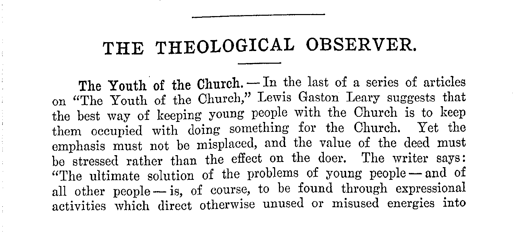## **THE THEOLOGICAL OBSERVER.**

The Youth of the Church. - In the last of a series of articles on "The Youth of the Church," Lewis Gaston Leary suggests that the best way of keeping young people with the Church is to keep them occupied with doing something for the Church. Yet the emphasis must not be misplaced, and the value of the deed must be stressed rather than the effect on the doer. The writer says: "The ultimate solution of the problems of young people - and of all other people - is, of course, to be found through expressional activities which direct otherwise unused or misused energies into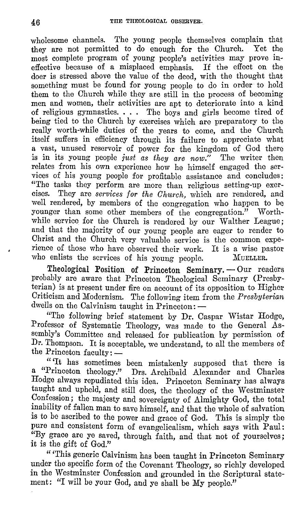wholesome channels. The young people themselves complain that they are not permitted to do enough for the Church. Yet the most complete program of young people's activities may prove ineffective because of a misplaced emphasis. I£ the effect on the doer is stressed above the value of the deed, with the thought that something must be found for young people to do in order to hold them to the Church while they are still in the process of becoming men and women, their activities are ant to deteriorate into a kind of religious gymnastics.  $\ldots$  The boys and girls become tired of being tied to the Church by exercises which are preparatory to the really worth-while duties of the years to come, and the Church itself suffers in efficiency through its failure to appreciate what a vast, unused reservoir of power for the kingdom of God there is in its young people *just as they are now."* The writer then relates from his own experience how he himself engaged the services of his young people for profitable assistance and concludes: "The tasks they perform are more than religious setting-up exercises. They are *services for the Church*, which are rendered, and well rendered, by members of the congregation who happen to be younger than some other members of the congregation." Worthyounger than some other members of the congregation." while service for the Church is rendered by our Walther League; and that the majority of our young people are eager to render to Christ and the Church very valuable service is the common experience of those who have observed their work. It is a wise pastor who enlists the services of his voung neonle. MUELLER. who enlists the services of his young people.

Theological Position of Princeton Seminary. - Our readers probably are aware that Princeton Theological Seminary (Presbyterian) is at present under fire on account of its opposition to Higher Criticism and Modernism. The following item from the *Presbyterian*  dwells on the Calvinism taught in Princeton:  $-$ 

"The following brief statement by Dr. Caspar Wistar Hodge, Professor of Systematic Theology, was made to the General Assembly's Committee and released for publication by permission of Dr. Thompson. It is acceptable, we understand, to all the members of the Princeton  $\text{faculty}:$   $-$ 

" 'It has sometimes been mistakenly supposed that there is a "Princeton theology." Drs. Archibald Alexander and Charles Hodge always repudiated this idea. Princeton Seminary has always taught and upheld, and still does, the theology of the Westminster Confession; the majesty and sovereignty of Almighty God, the total inability of fallen man to save himself, and that the whole of salvation is to be ascribed to the power and grace of God. This is simply the pure and consistent form of evangelicalism, which says with Paul: "By grace are ye saved, through faith, and that not of yourselves; it is the gift of God."

"'This generic Calvinism has been taught in Princeton Seminary under the specific form of the Covenant Theology, so richly developed in the Westminster Confession and grounded in the Scriptural statement: "I will be your God, and ye shall be My people."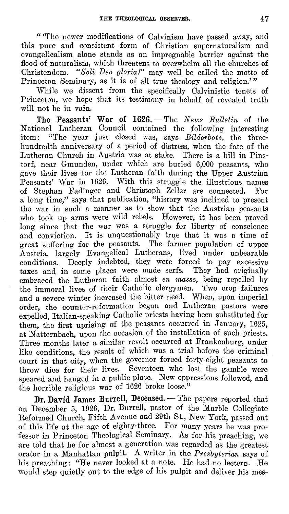" 'The newer modifications of Calvinism have passed away, and this pure and consistent form of Christian supernaturalism and evangelicalism alone stands as an impregnable barrier against the flood of naturalism, which threatens to overwhelm all the churches of Christendom. *"Soli Deo gloria!"* may well be called the motto of Princeton Seminary, as it is of all true theology and religion.'"

While we dissent from the specifically Calvinistic tenets of Princeton, we hope that its testimony in behalf of revealed truth will not be in vain.

**The Peasants' War of 1626.** – The *News Bulletin* of the National Lutheran Council contained the following interesting item: "The year just closed was, says *Bilderbote,* the threehundredth anniversary of a period of distress, when the fate of the Lutheran Church in Austria was at stake. There is a hill in Pinstor£, near Gmunden, under which are buried 6,000 peasants, who gave their lives for the Lutheran faith during the Upper Austrian Peasants' War in 1G26. With this struggle the illustrious names of Stephan Fadinger and Christoph Zeller are connected. For a long time," says that publication, "history was inclined to present the war in such a manner as to show that the Austrian peasants who took up arms were wild rebels. However, it has been proved long since that the war was a struggle for liberty of conscience and conviction. It is unquestionably true that it was a time of great suffering for the peasants. The farmer population of upper Austria, largely Evangelical Lutherans, lived under unbearable conditions. Deeply indebted, they were forced to pay excessive taxes and in some places were made serfs. They had originally embraced the Lutheran faith almost *en masse,* being repelled by the immoral lives of their Catholic clergymen. Two crop failures and a severe winter increased the bitter need. When, upon imperial order, the counter-reformation began and Lutheran pastors were expelled, Italian-speaking Catholic priests having been substituted for them, the first uprising of the peasants occurred in January, 1625. at Natternbach, upon the occasion of the installation of such priests. Three months later a similar revolt occurred at Frankenburg, under like conditions, the result of which was a trial before the criminal court in that city, when the governor forced forty-eight peasants to throw dice for their lives. Seventeen who lost the gamble were speared and hanged in a public place. New oppressions followed, and the horrible religious war of 1626 broke loose."

Dr. David James Burrell, Deceased. - The papers reported that on December 5, 1926, Dr. Burrell, pastor of the Marble Collegiate Reformed Church, Fifth Avenue and 29th St., New York, passed out of this life at the age of eighty-three. For many years he was professor in Princeton Theological Seminary. As for his preaching, we are told that he for almost a generation was regarded as the greatest orator in a Manhattan pulpit. A writer in the *Presbyterian* says of his preaching: "He never looked at a note. He had no lectern. He would step quietly out to the edge of his pulpit and deliver his mes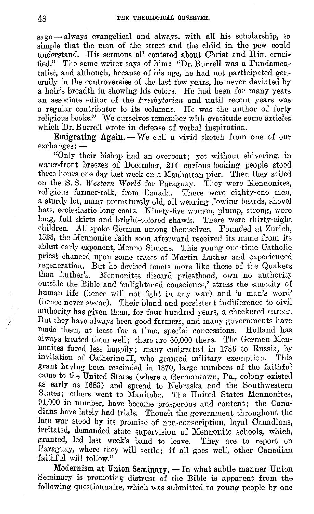$sage - always expanded and always, with all his scholarship, so$ simple that the man of the street and the child in the pew could understand. His sermons all centered about Christ and Him crucified." The same writer says of him: "Dr. Burrell was a Fundamentalist, and although, because of his age, he had not participated generally in the controversies of the last few years, he never deviated by a hair's breadth in showing his colors. He had been for many years an associate editor of the *Presbyterian* and until recent years was **a** regular contributor to its columns. He was the author of forty religious books." We ourselves remember with gratitude some articles which Dr. Burrell wrote in defense of verbal inspiration.

Emigrating Again. - We cull a vivid sketch from one of our  $exchanges: -$ 

"Only their bishop had an overcoat; yet without shivering, in water-front breezes of December, 214 curious-looking people stood three hours one day last week on a Manhattan pier. Then they sailed on the S. S. *Western World* for Paraguay. They were Mennonites, religious farmer-folk, from Canada. There were eighty-one men, a sturdy lot, many prematurely old, all wearing flowing beards, shovel hats, ecclesiastic long coats. Ninety-five women, plump, strong, wore long, full skirts and bright-colored shawls. There were thirty-eight children. All spoke German among themselves. Founded at Zurich, 1523, the Mennonite faith soon afterward received its name from its ablest early exponent, Menno Simons. This young one-time Catholic priest chanced upon some tracts of Martin Luther and experienced regeneration. But he devised tenets more like those of the Quakers than Luther's. Mennonites discard priesthood, own no authority outside the Bible and 'enlightened conscience,' stress the sanctity of human life (hence• will not fight in any war) and 'a man's word' (hence never swear). Their bland and persistent indifference to civil authority has given them, for four hundred years, a checkered career. But they have always been good farmers, and many governments have made them, at least for a time, special concessions. Holland has always treated them well; there are 60,000 there. The German Mennonites fared less happily; many emigrated in 1786 to Russia, by invitation of Catherine II, who granted military exemption. This grant having been rescinded in 1870, large numbers of the faithful came to the United States (where a Germantown, Pa., colony existed as early as 1683) and spread to Nebraska and the Southwestern States; others went to Manitoba. The United States Mennonites, 91,000 in number, have become prosperous and content; the Canadians have lately had trials. Though the government throughout the late war stood by its promise of non-conscription, loyal Canadians, irritated, demanded state supervision of Mennonite schools, which, granted, led last week's band to leave. They are to report on Paraguay, where they will settle; if all goes well, other Canadian faithful will follow."

Modernism at Union Seminary. - In what subtle manner Union Seminary is promoting distrust of the Bible is apparent from the following questionnaire, which was submitted to young people by one

*I*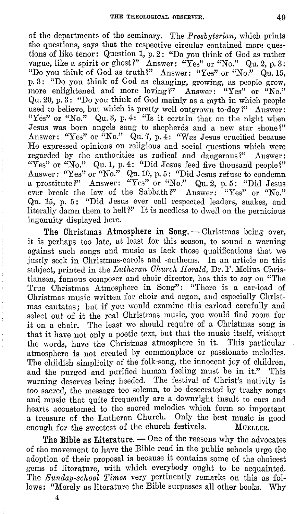0£ the departments 0£ the seminary. The *Presbyterian,* which prints the questions, says that the respective circular contained more ques· tions 0£ like tenor: Question 1, p. 2: "Do you think of God as rather vague, like a spirit or ghost?" Answer: "Yes" or "No." Qu. 2, p. 3: "Do you think of God as truth?" Answer: "Yes" or "No."  $Qu$ , 15, p. 3: "Do you think 0£ God as changing, growing, as people grow, more enlightened and more loving?" Answer: "Yes" or "No." Qu. 20, p. 3: "Do you think of God mainly as a myth in which people used to believe, but which is pretty well outgrown to-day?" Answer: "Yes" or "No." Qu. 3, p. 4: "Is it certain that on the night when Jesus was born angels sang to shepherds and a new star shone?" Answer: "Yes" or "No." Qu. 7, p. 4: "Was Jesus crucified because He expressed opinions on religious and social questions which were regarded by the authorities as radical and dangerous?" Answer: "Yes" or "No." Qu. 1, p. 4: "Did Jesus feed five thousand people?" Answer: "Yes" or "No." Qu. 10, p. 5: "Did Jesus refuse to condemn a prostitute?" Answer: "Yes" or "No." Qu. 2, p. 5: "Did Jesus ever break the law of the Sabbath?" Answer: "Yes" or "No." Qu. 15, p. 5: "Did Jesus ever call respected leaders, snakes, and literally damn them to hell?" It is needless to dwell on the pernicious ingenuity displayed here.

The Christmas Atmosphere in Song. - Christmas being over, it is perhaps too late, at least for this season, to sound a warning against such songs and music as lack those qualifications that we justly seek in Christmas-carols and -anthems. In an article on this subject, printed in the *Lutheran Church Herald,* Dr. F. Melius Christiansen, famous composer and choir director, has this to say on "The True Christmas Atmosphere in Song": "There is a car-load 0£ Christmas music written for choir and organ, and especially Christmas cantatas; but if you would examine this carload carefully and select out of it the real Christmas music, you would find room for it on a chair. The least we should require of a Christmas song is that it have not only a poetic text, but that the music itself, without the words, have the Christmas atmosphere in it. This particular atmosphere is not created by commonplace or passionate melodies. The childish simplicity of the folk-song, the innocent joy of children, and the purged and purified human feeling must be in it." This warning deserves being heeded. The festival of Christ's nativity is too sacred, the message too solemn, to be desecrated by trashy songs and music that quite frequently are a downright insult to ears and hearts accustomed to the sacred melodies which form so important a treasure of the Lutheran Church. Only the best music is good enough for the sweetest of the church festivals. MUELLER.

The Bible as Literature. – One of the reasons why the advocates 0£ the movement to have the Bible read in the public schools urge the adoption of their proposal is because it contains some of the choicest gems 0£ literature, with which everybody ought to be acquainted. The *Sunday-school Times* very pertinently remarks on this as follows: "Merely as literature the Bible surpasses all other books. Why

4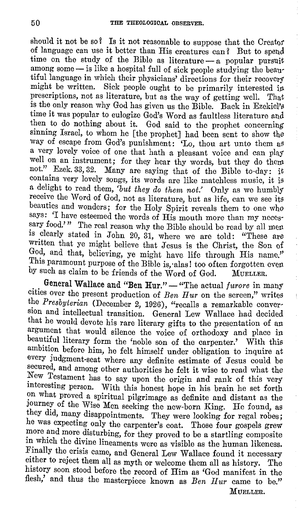should it not be so? Is it not reasonable to suppose that the Creator<br>of language can use it better than His creatures can? But to spend of language can use it better than His creatures can? time on the study of the Bible as literature - a popular pursuit among some - is like a hospital full of sick people studying the beautiful language in which their physicians' directions for their recovery might be written. Sick people ought to be primarily interested in prescriptions, not as literature, but as the way of getting well. That is the only reason why God has given us the Bible. Back in Ezekiel's time it was popular to eulogize God's Word as faultless literature and then to do nothing about it. God said to the prophet concerning sinning Israel, to whom he [the prophet] had been sent to show the way of escape from God's punishment: 'Lo, thou art unto them as a very lovely voice of one that hath a pleasant voice and can plat well on an instrument; for they hear thy words, but they do thew not." Ezek. 33, 32. Many are saying that of the Bible to-day: it contains very lovely songs, its words are like matchless music, it is a delight to read them, *'but they do them not.'* Only as we humbly receive the Word of God, not as literature, but as life, can we see its beauties and wonders; for the Holy Spirit reveals them to one who says: 'I have esteemed the words of His mouth more than my necessary food.'" The real reason why the Bible should be read by all men is clearly stated in John 20, 31, where we are told: "These are written that ye might believe that Jesus is the Christ, the Son of God, and that, believing, ye might have life through His name.'' This paramount purpose of the Bible is, alas! too often forgotten even by such as claim to be friends of the Word of God. MUELLER.

General Wallace and "Ben Hur." - "The actual *furore* in many cities over the present production of *Ben Hur* on the screen," writes the *Presbyterian* (December 2, 1926), "recalls a remarkable conversion and intellectual transition. General Lew Wallace had decided that he would devote his rare literary gifts to the presentation of an argument that would silence the voice of orthodoxy and place in beautiful literary form the 'noble son of the carpenter.' With this ambition before him, he felt himself under obligation to inquire at every judgment-scat where any definite estimate of Jesus could be secured, and among other authorities he felt it wise to read what the New Testament has to say upon the origin and rank of this very interesting person. With this honest hope in his brain he set forth on what proved a spiritual pilgrimage as definite and distant as the Journey of the Wise Men seeking the new-born King. He found, as they did, many disappointments. They were looking for regal robes; he was expecting only the carpenter's coat. Those four gospels grew more and more disturbing, for they proved to be a startling composite in which the divine lineaments were as visible as the human likeness. Finally the crisis came, and General Lew Wallace found it necessary either to reject them all as myth or welcome them all as history. The history soon stood before the record of Him as 'God manifest in the flesh,' and thus the masterpiece known as *Ben Hur* came to be." MUELLER.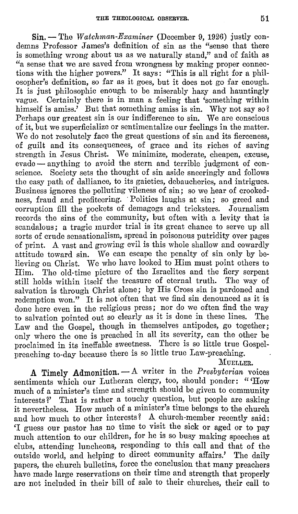**Sin.** -Tho *Watchman-Examiner* (December 9, 1926) justly condemns Professor James's definition of sin as the "sense that there is something wrong about us as we naturally stand," and of faith as "a sense that we are saved from wrongness by making proper connections with the higher powers." It says: "This is all right for a philosopher's definition, so far as it goes, but it does not go far enough. It is just philosophic enough to be miserably hazy and hauntingly vague. Certainly there is in man a feeling that 'something within himself is amiss.' But that something amiss is sin. Why not say so? Perhaps our greatest sin is our indifference to sin. We are conscious of it, but we superficialize or sentimentalize our feelings in the matter. We do not resolutely face the great questions of sin and its fierceness, of guilt and its consequences, of grace and its riches of saving strength in Jesus Christ. We minimize, moderate, cheapen, excuse, evade - anything to avoid the stern and terrible judgment of conscience. Society sets the thought of sin aside sneeringly and follows the easy path of dalliance, to its gaieties, debaucheries, and intrigues. Business ignores the polluting vileness of sin; so we hear of crookedness, fraud and profiteering. Politics laughs at sin; so greed and corruption fill the pockets of demagogs and tricksters. Journalism records the sins of the community, but often with a levity that is scandalous; a tragic murder trial is its great chance to serve up all sorts of crude sensationalism, spread in poisonous putridity over pages of print. A vast and growing evil is this whole shallow and cowardly attitude toward sin. We can escape the penalty of sin only by believing on Christ. We who have looked to Him must point others to Him. The old-time picture of the Israelites and the fiery serpent still holds within itself the treasure of eternal truth. The way of salvation is through Christ alone; by His Cross sin is pardoned and redemption won." It is not often that we find  $\sin$  denounced as it is done here even in the religious press; nor do we often find the way to salvation pointed out so clearly as it is done in these lines. The Law and the Gospel, though in themselves antipodes, go together; only where the one is preached in all its severity, can the other be proclaimed in its ineffable sweetness. There is so little true Gospelpreaching to-day because there is so little true Law-preaching.

MUELLER.

**A Timely Admonition.** - A writer in the *Presbyterian* voices sentiments which our Lutheran clergy, too, should ponder: "How much of a minister's time and strength should be given to community interests?' That is rather a touchy question, but people are asking it nevertheless. How much of a minister's time belongs to the church and how much to other interests? A church-member recently said: 'I guess our pastor has no time to visit the sick or aged or to pay much attention to our children, for he is so busy making speeches at clubs, attending luncheons, responding to this call and that of the outside world, and helping to direct community affairs.' The daily papers, the church bulletins, force the conclusion that many preachers have made large reservations on their time and strength that properly are not included in their bill of sale to their churches, their call to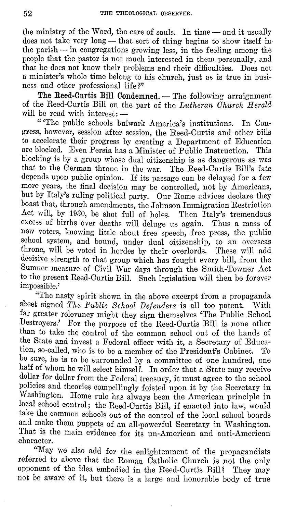the ministry of the Word, the care of souls. In time - and it usually does not take very long — that sort of thing begins to show itself in the parish  $-$  in congregations growing less, in the feeling among the people that the pastor is not much interested in them personally, and that he does not know their problems and their difficulties. Does not a minister's whole time belong to his church, just as is true in business and other professional life?"

The Reed-Curtis Bill Condemned. - The following arraignment of the Reed-Curtis Bill on the part of the *Lutheran Church Herald*  will be read with interest: --

" The public schools bulwark America's institutions. In Congress, however, session after session, the Reed-Curtis and other bills to accelerate their progress by creating a Department of Education are blocked. Even Persia has a Minister of Public Instruction. This blocking is by a group whose dual citizenship is as dangerous as was that to the German throne in the war. The Reed-Curtis Bill's fate depends upon public opinion. I£ its passage can be delayed for a few more years, the final decision may be controlled, not by Americans, but by Italy's ruling political party. **Our** Rome advices declare they boast that, through amendments, the Johnson Immigration Restriction Act will, by 1930, be shot full of holes. Then Italy's tremendous excess of births over deaths will deluge us again. Thus a mass of new voters, knowing little about free speech, free press, the public school system, and bound, under dual citizenship, to an overseas throne, will be voted in hordes by their overlords. These will add decisive strength to that group which has fought every bill, from the Sumner measure of Civil War days through the Smith-Towner Act to the present Reed-Curtis Bill. Such legislation will then be forever impossible.'

"The nasty spirit shown in the above excerpt from a propaganda sheet signed *The Public School Defenders* is all too patent. With far greater relevancy might they sign themselves 'The Public School Destroyers.' For the purpose of the Reed-Curtis Bill is none other than to take the control of the common school out of the hands of the State and invest a Federal officer with it, a Secretary of Education, so-called, who is to be a member of the President's Cabinet. be sure, he is to be surrounded by a committee of one hundred, one half of whom he will select himself. In order that a State may receive dollar for dollar from the Federal treasury, it must agree to the school policies and theories compellingly foisted upon it by the Secretary in Washington. Home rule has always been the American principle in local school control; the Reed-Curtis Bill, if enacted into law, would take the common schools out of the control of the local school boards and make them puppets of an all-powerful Secretary in Washington. That is the main evidence for its un-American and anti-American character.

"May we also add for the enlightenment of the propagandists referred to above that the Roman Catholic Church is not the only opponent of the idea embodied in the Reed-Curtis Bill? They may not be aware of it, but there is a large and honorable body of true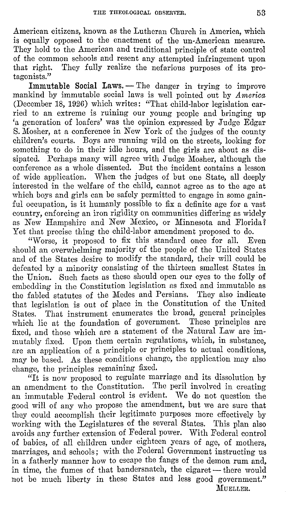American citizens, known as the Lutheran Church in America, which is equally opposed to the enactment of the un-American measure. They hold to the American and traditional principle of state control of the common schools and resent any attempted infringement upon<br>that right. They fully realize the nefarious purposes of its pro-They fully realize the nefarious purposes of its protagonists."

Immutable Social Laws. - The danger in trying to improve mankind by immutable social laws is well pointed out by *America*  (December 18, 1926) which writes: "That child-labor legislation carried to an extreme is ruining our young people and bringing up 'a generation of loafers' was the opinion expressed by Judge Edgar S. Mosher, at a conference in New York of the judges of the county children's courts. Boys are running wild on the streets, looking for something to do in their idle hours, and the girls are about as dissipated. Perhaps many will agree with Judge Mosher, although the conference as a whole dissented. But the incident contains a lesson of wide application. When the judges of but one State, all deeply interested in the welfare of the child, cannot agree as to the age at which boys and girls can be safely permitted to engage in some gainful occupation, is it humanly possible to fix a definite age for a vast country, enforcing an iron rigidity on communities differing as widely as New Hampshire and New Mexico, or Minnesota and Florida? Yet that precise thing the child-labor amendment proposed to do.<br>"Worse, it proposed to fix this standard once for all. Even

"Worse, it proposed to fix this standard once for all. should an overwhelming majority of the people of the United States and of the States desire to modify the standard, their will could be defeated by a minority consisting of the thirteen smallest States in the Union. Such facts as these should open our eyes to the folly of embedding in the Constitution legislation as fixed and immutable as the fabled statutes of the Medes and Persians. They also indicate that legislation is out of place in the Constitution of the United States. That instrument enumerates the broad, general principles which lie at the foundation of government. These principles are fixed, and those which are a statement of the Natural Law are immutably fixed. Upon them certain regulations, which, in substance. are an application of a principle or principles to actual conditions, may be based. As these conditions change, the application may also change, the principles remaining fixed.

"It is now proposed to regulate marriage and its dissolution by an amendment to the Constitution. The peril involved in creating an immutable Federal control is evident. We do not question the good will of any who propose the amendment, but we are sure that they could accomplish their legitimate purposes more effectively by working with the Legislatures of the several States. This plan also avoids any further extension of Federal power. With Federal control of babies, of all children under eighteen years of age, of mothers, marriages, and schools; with the Federal Government instructing us in a fatherly manner how to escape the fangs of the demon rum and, in time, the fumes of that bandersnatch, the cigaret—there would not be much liberty in these States and less good government." MUELLER.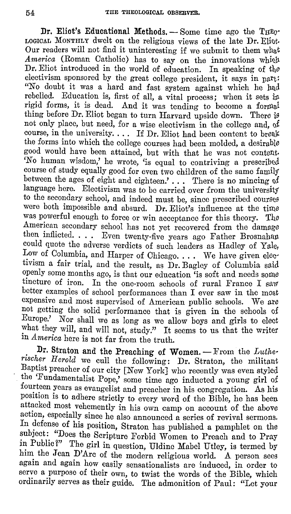Dr. Eliot's Educational Methods. - Some time ago the THEO-LOGIOAL MONTHLY dwelt on the religious views of the late Dr. Eliot. Our readers will not find it uninteresting if we submit to them what *America* (Roman Catholic) has to say on the innovations which Dr. Eliot introduced in the world of education. In speaking of the electivism sponsored by the great college president, it says in part: "No doubt it was a hard and fast system against which he had rebelled. Education is, first of all, a vital process; when it sets in rigid forms, it is dead. And it was tending to become a formal thing before Dr. Eliot began to turn Harvard upside down. There is not only place, but need, for a wise electivism in the college and, 0£ course, in the university. . . . If Dr. Eliot had been content to break the forms into which the college courses had been molded, a desirable good would have been attained, but with that he was not content. *'No* human wisdom,' he wrote, 'is equal to contriving a prescribed course of study equally good for even two children of the same family between the ages of eight and eighteen.' ... There is no mincing of language here. Electivism was to be carried over from the university to the secondary school, and indeed must be, since prescribed courses were both impossible and absurd. Dr. Eliot's influence at the time was powerful enough to force or win acceptance for this theory. The American secondary school has not yet recovered from the damage then inflicted. . . . Even twenty-five years ago Father Brosnahan could quote the adverse verdicts of such leaders as Hadley of Yale, Low of Columbia, and Harper of Chicago. . . . We have given electivism a fair trial, and the result, as Dr. Bagley of Columbia said openly some months ago, is that our education 'is soft and needs some tincture of iron. In the one-room schools of rural France I saw better examples of school performances than I ever saw in the most expensive and most supervised of American public schools. We are not getting the solid performance that is given in the schools of Europe.' Nor shall we as long as we allow boys and girls to elect what they will, and will not, study." It seems to us that the writer in *America* here is not far from the truth.

Dr. Straton and the Preaching of Women. - From the *Lutherischer Herold* we cull the following: Dr. Straton, the militant Baptist preacher of our city [New York] who recently was even styled tho 'Fundamentalist Pope,' some time ago inducted a young girl of fourteen years as evangelist and preacher in his congregation. As his position is to adhere strictly to every word of the Bible, he has been attacked most vehemently in his own camp on account of the above action, especially since he also announced a series of revival sermons. In defense of his position, Straton has published a pamphlet on the subject: "Does the Scripture Forbid Women to Preach and to Pray in Public?" The girl in question, Uldine Mabel Utley, is termed by him the Jean D'Arc of the modern religious world. A person sees again and again how easily sensationalists are induced, in order to serve a purpose of their own, to twist the words of the Bible, which ordinarily serves as their guide. The admonition of Paul: "Let your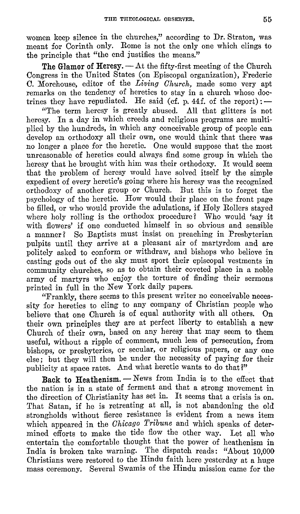women keep silence in the churches," according to Dr. Straton, was meant for Corinth only. Rome is not the only one which clings to the principle that "the end justifies the means."

The Glamor of Heresy.  $-\mathrm{At}$  the fifty-first meeting of the Church Congress in the United States (on Episcopal organization), Frederic C. Morehouse, editor of the *Living Church,* made some very apt remarks on the tendency of heretics to stay in a church whose doctrines they have repudiated. He said (cf. p. 44f. of the report):  $-$ 

"The term heresy is greatly abused. All that glitters is not heresy. In a day in which creeds and religious programs are multiplied by the hundreds, in which any conceivable group of people can develop an orthodoxy all their own, one would think that there was no longer a place for the heretic. One would suppose that the most unreasonable of heretics could always find some group in which the heresy that he brought with him was their orthodoxy. It would seem that the problem of heresy would have solved itself by the simple expedient of every heretic's going where his heresy was the recognized orthodoxy of another group or Church. But this is to forget the psychology of the heretic. How would their place on the front page be filled, or who would provide the adulations, if Holy Rollers stayed where holy rolling is the orthodox procedure? Who would 'say it with flowers' if one conducted himself in so obvious and sensible a manner? So Baptists must insist on preaching in Presbyterian pulpits until they arrive at a pleasant air of martyrdom and are politely asked to conform or withdraw, and bishops who believe in casting gods out of the sky must sport their episcopal vestments in community churches, so as to obtain their coveted place in a noble army of martyrs who enjoy the torture of finding their sermons printed in full in the New York daily papers.

"Frankly, there seems to this present writer no conceivable necessity for heretics to cling to any company of Christian people who believe that one Church is of equal authority with all others. On their own principles they are at perfect liberty to establish a new Church of their own, based on any heresy that may seem to them useful, without a ripple of comment, much less of persecution, from bishops, or presbyteries, or secular, or religious papers, or any one else; but they will then be under the necessity of paying for their publicity at space rates. And what heretic wants to do that?"

Back to Heathenism. - News from India is to the effect that the nation is in a state of ferment and that a strong movement in the direction of Christianity has set in. It seems that a crisis is on. That Satan, if he is retreating at all, is not abandoning the old strongholds without fierce resistance is evident from a news item which appeared in the *Chicago Tribune* and which speaks of determined efforts to make the tide flow the other way. Let all who entertain the comfortable thought that the power of heathenism in India is broken take warning. The dispatch reads: "About 10,000 Christians were restored to the Hindu faith here yesterday at a huge mass ceremony. Several Swamis of the Hindu mission came for the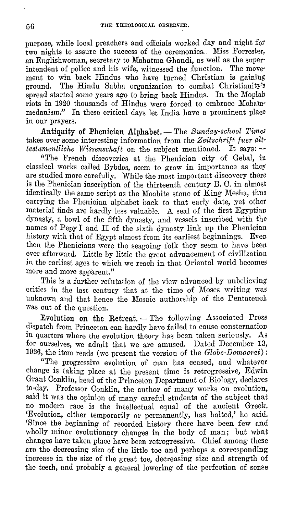purpose, while local preachers and officials worked day and night £or two nights to assure the success of the ceremonies. Miss Forrester, an Englishwoman, secretary to Mahatma Ghandi, as well as the super· intendent of police and his wife, witnessed the function. The movement to win back Hindus who have turned Christian is gaining ground. The Hindu Sabha organization to combat Christianity's The Hindu Sabha organization to combat Christianity's spread started some years ago to bring back Hindus. In the Moplah riots in 1920 thousands of Hindus were forced to embrace Mohammedanism." In these critical days let India have a prominent place in our prayers.

Antiquity of Phenician Alphabet. - The *Sunday-school Times* takes over some interesting information from the *Zeitschrift fuer alt· testamentliche Wissenschaft* on the subject mentioned. It says: -

"The French discoveries at the Phenician city of Gebal, in classical works called Bybdos, seem to grow **in** importance as they are studied more carefully. While the most important discovery there is the Phenician inscription of the thirteenth century **B.** 0. in almost identically the same script as the Moabite stone of King Mesha, thus carrying the Phenician alphabet back to that early date, yet other material finds are hardly less valuable. **A.** seal of the first Egyptian dynasty, a bowl of the fifth dynasty, and vessels inscribed with the names of Pepy I and II of the sixth dynasty link up the Phenician history with that of Egypt almost from its earliest beginnings. Even then the Phenicians were the seagoing folk they seem to have been ever afterward. Little by little the great advancement of civilization in the earliest ages to which we reach in that Oriental world becomes more and more apparent."

This is a further refutation of the view advanced by unbelieving critics in the last century that at the time of Moses writing was unknown and that hence the Mosaic authorship of the Pentateuch was out of the question.

Evolution on the Retreat. - The following Associated Press dispatch from Princeton can hardly have failed to cause consternation in quarters where the evolution theory has been taken seriously. As for ourselves, we admit that we are amused. Dated December 13, 1926, the item reads (we present the version of the *Globe-Democrat):* 

"The progressive evolution of man has ceased, and whatever change is taking place at the present time is retrogressive, Edwin Grant Conklin, head of the Princeton Department of Biology, declares to-day. Professor Conklin, the author of many works on evolution, said it was the opinion of many careful students of the subject that no modern race is the intellectual equal of the ancient Greek. 'Evolution, either temporarily or permanently, has halted,' he said. 'Since the beginning of recorded history there have been few and wholly minor evolutionary changes in the body of man; but what changes have taken place have been retrogressive. Chief among these are the decreasing size of the little toe and perhaps a corresponding increase in the size of the great toe, decreasing size and strength of the teeth, and probably a general lowering of the perfection of sense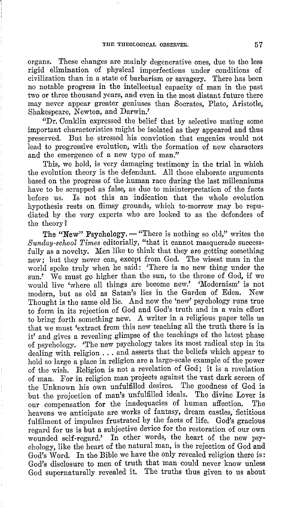organs. These changes are mainly degenerative ones, due to the less rigid elimination of physical imperfections under conditions of civilization than in a state of barbarism or savagery. There has been no notable progress in the inte11ectual capacity of man in the past two or three thousand years, and even in the most distant future there may never appear greater geniuses than Socrates, Plato, Aristotle, Shakespeare, Newton, and Darwin.'

"Dr. Conklin expressed the belief that by selective mating some important characteristics might be isolated as they appeared and thus preserved. But he stressed his conviction that eugenics would not lead to progressive evolution, with the formation of new characters and the emergence of a new type of man."

This, we hold, is very damaging testimony in the trial in which the evolution theory is the defendant. All those elaborate arguments based on the progress of the human race during the last millenniums have to be scrapped as false, as due to misinterpretation of the facts before us. Is not this an indication that the whole evolution hypothesis rests on flimsy grounds, which to-morrow may be repudiated by the very experts who are looked to as the defenders of the theory?

The "New" Psychology. - "There is nothing so old," writes the *Sunday-school Times* editoria1ly, "that it cannot masquerade successfully as a novelty. Men like to think that they are getting something new; but they never can, except from God. The wisest man in the world spoke truly when he said: 'There is no new thing under the sun.' We must go higher than the sun, to the throne of God, if we would live 'where all things are become new.' 'Modernism' is not<br>modern but as old as Satan's lies in the Garden of Eden. New modern, but as old as Satan's lies in the Garden of Eden. Thought is the same old lie. And now the 'new' psychology runs true to form in its rejection of God and God's truth and in a vain effort to bring forth something new. A writer in a religious paper tells us that we must 'extract from this new teaching all the truth there is in it' and gives a revealing glimpse of the teachings of the latest phase of psychology. 'The new psychology takes its most radical step in its dealing with religion ... and asserts that the beliefs which appear to hold so large a place in religion are a large-scale example of the power of the wish. Religion is not a revelation of God; it is a revelation of man. For in religion man projects against the vast dark screen of the Unknown his own unfulfilled desires. The goodness of God is but the projection of man's unfulfilled ideals. The divine Lover is our compensation for the inadequacies of human affection. The heavens we anticipate are works of fantasy, dream castles, fictitious fulfilment of impulses frustrated by the facts of life. God's gracious regard for us is but a subjective device for the restoration of our own wounded self-regard.' In other words, the heart of the new psychology, like the heart of the natural man, is the rejection of God and God's Word. In the Bible we have the only revealed religion there is: God's disclosure to men of truth that man could never know unless God supernaturally revealed it. The truths thus given to us about